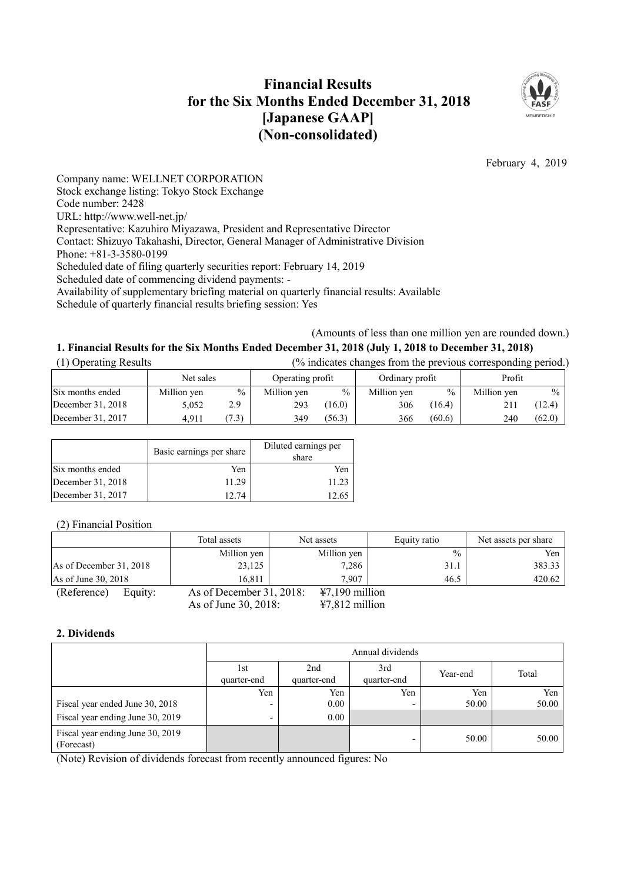# **Financial Results for the Six Months Ended December 31, 2018 [Japanese GAAP] (Non-consolidated)**



February 4, 2019

Company name: WELLNET CORPORATION Stock exchange listing: Tokyo Stock Exchange Code number: 2428 URL: http://www.well-net.jp/ Representative: Kazuhiro Miyazawa, President and Representative Director Contact: Shizuyo Takahashi, Director, General Manager of Administrative Division Phone: +81-3-3580-0199 Scheduled date of filing quarterly securities report: February 14, 2019 Scheduled date of commencing dividend payments: - Availability of supplementary briefing material on quarterly financial results: Available Schedule of quarterly financial results briefing session: Yes

(Amounts of less than one million yen are rounded down.)

# 1. Financial Results for the Six Months Ended December 31, 2018 (July 1, 2018 to December 31, 2018)

| (1) Operating Results | (% indicates changes from the previous corresponding period.) |               |                  |               |                 |               |             |               |
|-----------------------|---------------------------------------------------------------|---------------|------------------|---------------|-----------------|---------------|-------------|---------------|
|                       | Net sales                                                     |               | Operating profit |               | Ordinary profit |               | Profit      |               |
| Six months ended      | Million yen                                                   | $\frac{0}{0}$ | Million yen      | $\frac{0}{0}$ | Million yen     | $\frac{0}{0}$ | Million yen | $\frac{0}{0}$ |
| December 31, 2018     | 5.052                                                         | 2.9           | 293              | (16.0)        | 306             | (16.4)        | 21.         | (12.4)        |
| December 31, 2017     | 4.911                                                         | (7.3)         | 349              | (56.3)        | 366             | (60.6)        | 240         | (62.0)        |

|                     | Basic earnings per share | Diluted earnings per<br>share |
|---------------------|--------------------------|-------------------------------|
| Six months ended    | Yen                      | Yen                           |
| December $31, 2018$ | 11.29                    | 11.23                         |
| December 31, 2017   | 12.74                    | 12.65                         |

# (2) Financial Position

|                         | Total assets             | Net assets       | Equity ratio  | Net assets per share |
|-------------------------|--------------------------|------------------|---------------|----------------------|
|                         | Million yen              | Million yen      | $\frac{0}{0}$ | Yen                  |
| As of December 31, 2018 | 23,125                   | 7,286            | 31.1          | 383.33               |
| As of June 30, 2018     | 16.811                   | 7.907            | 46.5          | 420.62               |
| (Reference)<br>Equity:  | As of December 31, 2018: | $47,190$ million |               |                      |
|                         | As of June 30, 2018:     | $47,812$ million |               |                      |

### **2. Dividends**

|                                                | Annual dividends   |                    |                    |          |       |
|------------------------------------------------|--------------------|--------------------|--------------------|----------|-------|
|                                                | 1st<br>quarter-end | 2nd<br>quarter-end | 3rd<br>quarter-end | Year-end | Total |
|                                                | Yen                | Yen                | Yen                | Yen      | Yen   |
| Fiscal year ended June 30, 2018                | -                  | 0.00               | -                  | 50.00    | 50.00 |
| Fiscal year ending June 30, 2019               | ۰                  | 0.00               |                    |          |       |
| Fiscal year ending June 30, 2019<br>(Forecast) |                    |                    | -                  | 50.00    | 50.00 |

(Note) Revision of dividends forecast from recently announced figures: No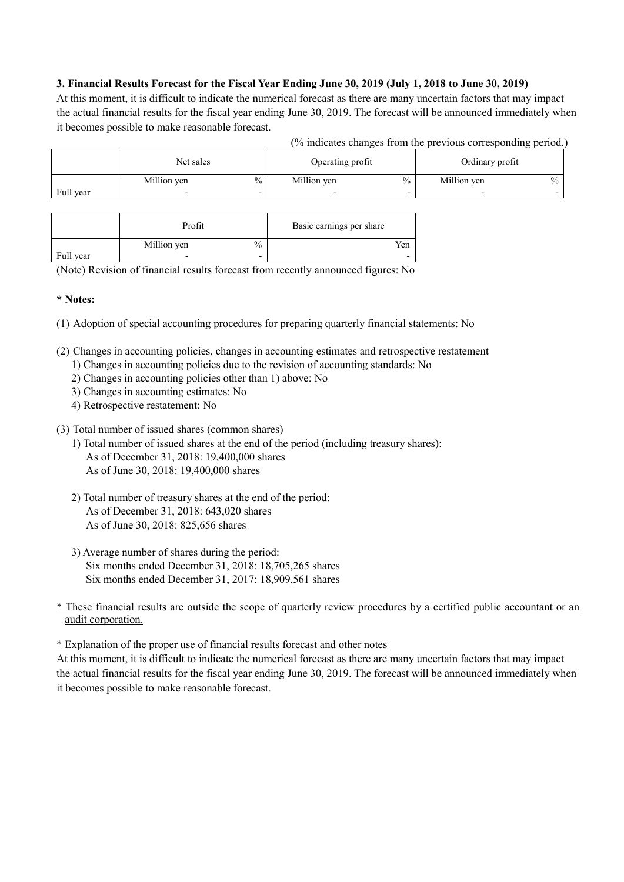# 3. Financial Results Forecast for the Fiscal Year Ending June 30, 2019 (July 1, 2018 to June 30, 2019)

At this moment, it is difficult to indicate the numerical forecast as there are many uncertain factors that may impact the actual financial results for the fiscal year ending June 30, 2019. The forecast will be announced immediately when it becomes possible to make reasonable forecast.

|           |             |               |                  |               | (% indicates changes from the previous corresponding period.) |  |
|-----------|-------------|---------------|------------------|---------------|---------------------------------------------------------------|--|
|           | Net sales   |               | Operating profit |               | Ordinary profit                                               |  |
|           | Million yen | $\frac{0}{0}$ | Million yen      | $\frac{0}{0}$ | Million yen                                                   |  |
| Full year |             | -             |                  |               | $\overline{\phantom{0}}$                                      |  |

|           | Profit      |               | Basic earnings per share |     |
|-----------|-------------|---------------|--------------------------|-----|
|           | Million yen | $\frac{0}{0}$ |                          | Yen |
| Full year | -           | -             |                          |     |

(Note) Revision of financial results forecast from recently announced figures: No

# **\* Notes:**

(1) Adoption of special accounting procedures for preparing quarterly financial statements: No

- (2) Changes in accounting policies, changes in accounting estimates and retrospective restatement
	- 1) Changes in accounting policies due to the revision of accounting standards: No
	- 2) Changes in accounting policies other than 1) above: No
	- 3) Changes in accounting estimates: No
	- 4) Retrospective restatement: No
- (3) Total number of issued shares (common shares)
	- 1) Total number of issued shares at the end of the period (including treasury shares): As of December 31, 2018: 19,400,000 shares As of June 30, 2018: 19,400,000 shares
	- 2) Total number of treasury shares at the end of the period: As of December 31, 2018: 643,020 shares As of June 30, 2018: 825,656 shares
	- 3) Average number of shares during the period: Six months ended December 31, 2018: 18,705,265 shares Six months ended December 31, 2017: 18,909,561 shares
- \* These financial results are outside the scope of quarterly review procedures by a certified public accountant or an audit corporation.

\* Explanation of the proper use of financial results forecast and other notes

At this moment, it is difficult to indicate the numerical forecast as there are many uncertain factors that may impact the actual financial results for the fiscal year ending June 30, 2019. The forecast will be announced immediately when it becomes possible to make reasonable forecast.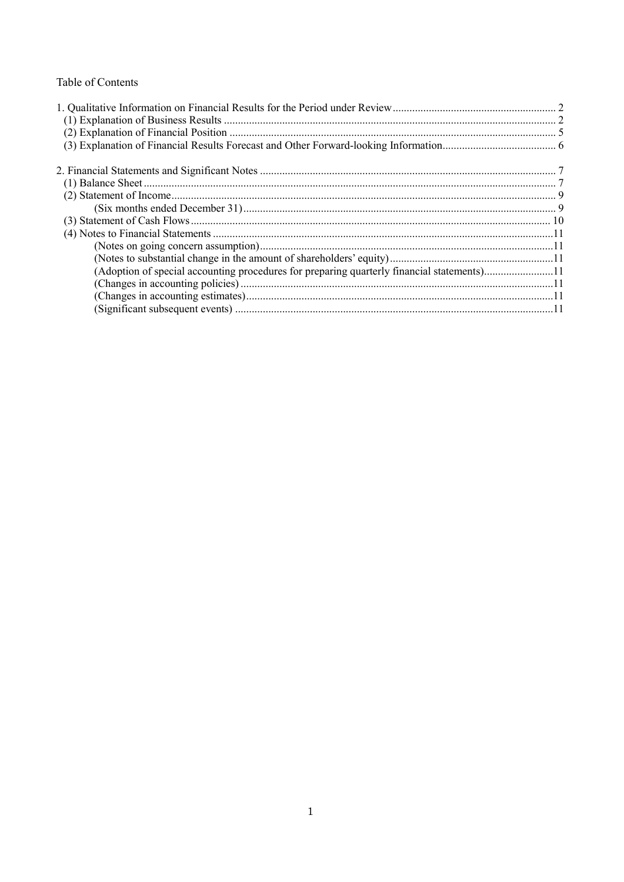# Table of Contents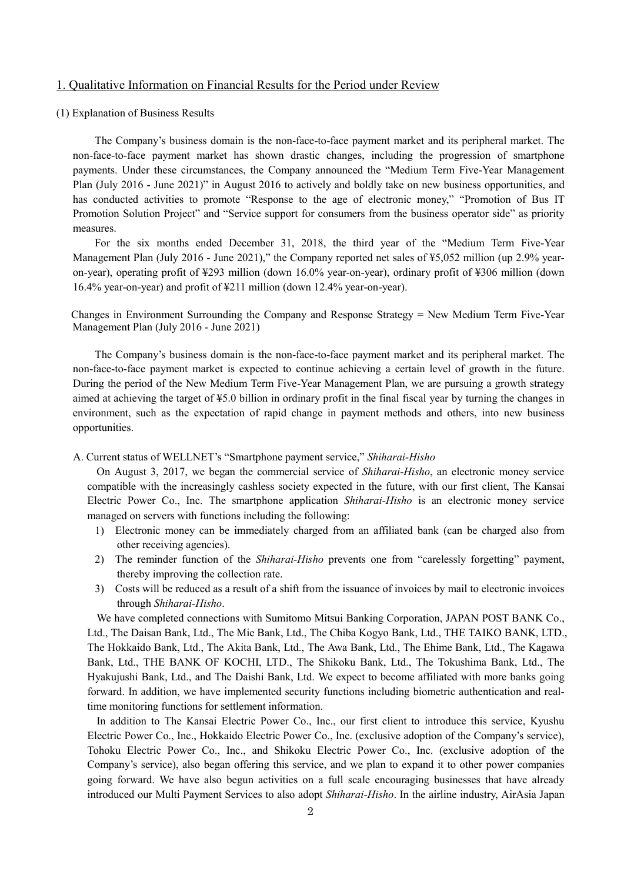# 1. Qualitative Information on Financial Results for the Period under Review

#### (1) Explanation of Business Results

The Company's business domain is the non-face-to-face payment market and its peripheral market. The non-face-to-face payment market has shown drastic changes, including the progression of smartphone payments. Under these circumstances, the Company announced the "Medium Term Five-Year Management Plan (July 2016 - June 2021)" in August 2016 to actively and boldly take on new business opportunities, and has conducted activities to promote "Response to the age of electronic money," "Promotion of Bus IT Promotion Solution Project" and "Service support for consumers from the business operator side" as priority measures.

For the six months ended December 31, 2018, the third year of the "Medium Term Five-Year Management Plan (July 2016 - June 2021)," the Company reported net sales of ¥5,052 million (up 2.9% yearon-year), operating profit of ¥293 million (down 16.0% year-on-year), ordinary profit of ¥306 million (down 16.4% year-on-year) and profit of ¥211 million (down 12.4% year-on-year).

Changes in Environment Surrounding the Company and Response Strategy = New Medium Term Five-Year Management Plan (July 2016 - June 2021)

The Company's business domain is the non-face-to-face payment market and its peripheral market. The non-face-to-face payment market is expected to continue achieving a certain level of growth in the future. During the period of the New Medium Term Five-Year Management Plan, we are pursuing a growth strategy aimed at achieving the target of ¥5.0 billion in ordinary profit in the final fiscal year by turning the changes in environment, such as the expectation of rapid change in payment methods and others, into new business opportunities.

# A. Current status of WELLNET's "Smartphone payment service," *Shiharai-Hisho*

On August 3, 2017, we began the commercial service of *Shiharai-Hisho*, an electronic money service compatible with the increasingly cashless society expected in the future, with our first client, The Kansai Electric Power Co., Inc. The smartphone application *Shiharai-Hisho* is an electronic money service managed on servers with functions including the following:

- 1) Electronic money can be immediately charged from an affiliated bank (can be charged also from other receiving agencies).
- 2) The reminder function of the *Shiharai-Hisho* prevents one from "carelessly forgetting" payment, thereby improving the collection rate.
- 3) Costs will be reduced as a result of a shift from the issuance of invoices by mail to electronic invoices through *Shiharai-Hisho*.

We have completed connections with Sumitomo Mitsui Banking Corporation, JAPAN POST BANK Co., Ltd., The Daisan Bank, Ltd., The Mie Bank, Ltd., The Chiba Kogyo Bank, Ltd., THE TAIKO BANK, LTD., The Hokkaido Bank, Ltd., The Akita Bank, Ltd., The Awa Bank, Ltd., The Ehime Bank, Ltd., The Kagawa Bank, Ltd., THE BANK OF KOCHI, LTD., The Shikoku Bank, Ltd., The Tokushima Bank, Ltd., The Hyakujushi Bank, Ltd., and The Daishi Bank, Ltd. We expect to become affiliated with more banks going forward. In addition, we have implemented security functions including biometric authentication and realtime monitoring functions for settlement information.

In addition to The Kansai Electric Power Co., Inc., our first client to introduce this service, Kyushu Electric Power Co., Inc., Hokkaido Electric Power Co., Inc. (exclusive adoption of the Company's service), Tohoku Electric Power Co., Inc., and Shikoku Electric Power Co., Inc. (exclusive adoption of the Company's service), also began offering this service, and we plan to expand it to other power companies going forward. We have also begun activities on a full scale encouraging businesses that have already introduced our Multi Payment Services to also adopt *Shiharai-Hisho*. In the airline industry, AirAsia Japan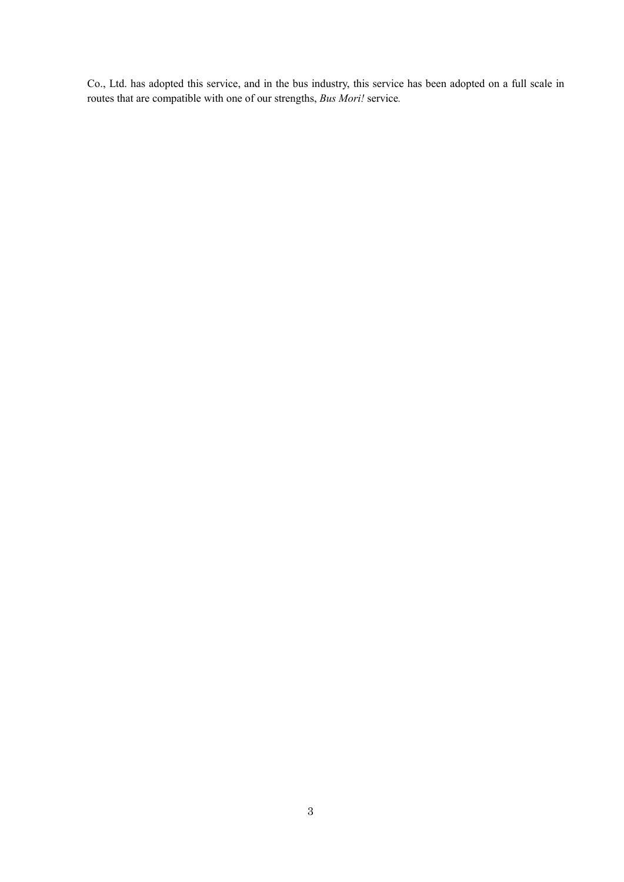Co., Ltd. has adopted this service, and in the bus industry, this service has been adopted on a full scale in routes that are compatible with one of our strengths, *Bus Mori!* service*.*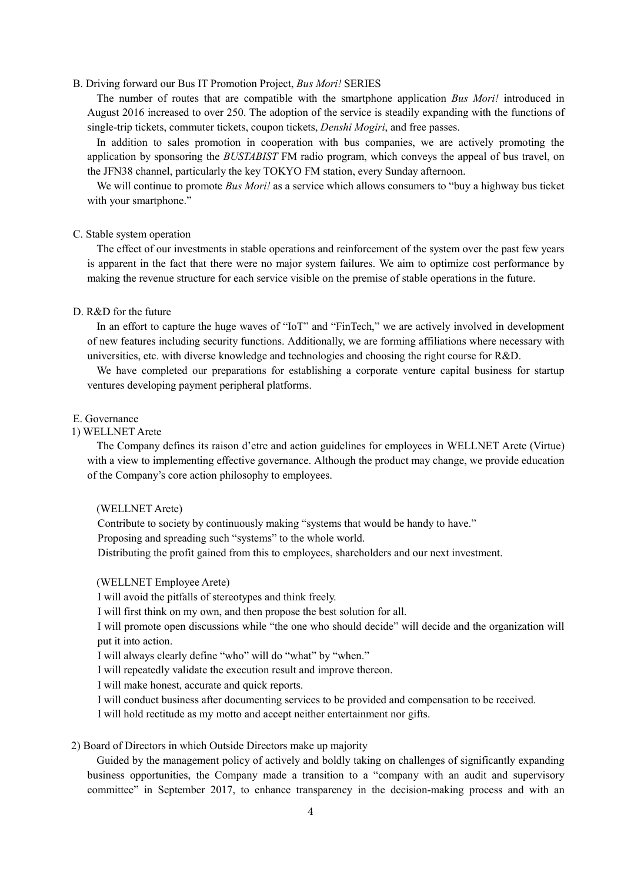#### B. Driving forward our Bus IT Promotion Project, *Bus Mori!* SERIES

The number of routes that are compatible with the smartphone application *Bus Mori!* introduced in August 2016 increased to over 250. The adoption of the service is steadily expanding with the functions of single-trip tickets, commuter tickets, coupon tickets, *Denshi Mogiri*, and free passes.

In addition to sales promotion in cooperation with bus companies, we are actively promoting the application by sponsoring the *BUSTABIST* FM radio program, which conveys the appeal of bus travel, on the JFN38 channel, particularly the key TOKYO FM station, every Sunday afternoon.

We will continue to promote *Bus Mori!* as a service which allows consumers to "buy a highway bus ticket with your smartphone."

#### C. Stable system operation

The effect of our investments in stable operations and reinforcement of the system over the past few years is apparent in the fact that there were no major system failures. We aim to optimize cost performance by making the revenue structure for each service visible on the premise of stable operations in the future.

### D. R&D for the future

In an effort to capture the huge waves of "IoT" and "FinTech," we are actively involved in development of new features including security functions. Additionally, we are forming affiliations where necessary with universities, etc. with diverse knowledge and technologies and choosing the right course for R&D.

We have completed our preparations for establishing a corporate venture capital business for startup ventures developing payment peripheral platforms.

## E. Governance

### 1) WELLNET Arete

The Company defines its raison d'etre and action guidelines for employees in WELLNET Arete (Virtue) with a view to implementing effective governance. Although the product may change, we provide education of the Company's core action philosophy to employees.

#### (WELLNET Arete)

Contribute to society by continuously making "systems that would be handy to have." Proposing and spreading such "systems" to the whole world. Distributing the profit gained from this to employees, shareholders and our next investment.

#### (WELLNET Employee Arete)

I will avoid the pitfalls of stereotypes and think freely.

I will first think on my own, and then propose the best solution for all.

I will promote open discussions while "the one who should decide" will decide and the organization will put it into action.

I will always clearly define "who" will do "what" by "when."

I will repeatedly validate the execution result and improve thereon.

I will make honest, accurate and quick reports.

I will conduct business after documenting services to be provided and compensation to be received.

I will hold rectitude as my motto and accept neither entertainment nor gifts.

# 2) Board of Directors in which Outside Directors make up majority

Guided by the management policy of actively and boldly taking on challenges of significantly expanding business opportunities, the Company made a transition to a "company with an audit and supervisory committee" in September 2017, to enhance transparency in the decision-making process and with an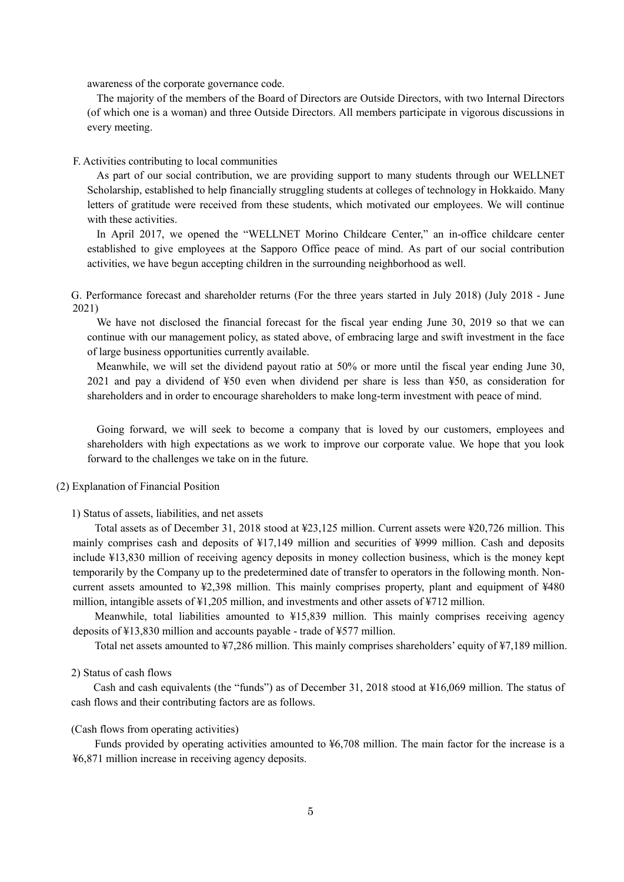awareness of the corporate governance code.

The majority of the members of the Board of Directors are Outside Directors, with two Internal Directors (of which one is a woman) and three Outside Directors. All members participate in vigorous discussions in every meeting.

#### F. Activities contributing to local communities

As part of our social contribution, we are providing support to many students through our WELLNET Scholarship, established to help financially struggling students at colleges of technology in Hokkaido. Many letters of gratitude were received from these students, which motivated our employees. We will continue with these activities.

In April 2017, we opened the "WELLNET Morino Childcare Center," an in-office childcare center established to give employees at the Sapporo Office peace of mind. As part of our social contribution activities, we have begun accepting children in the surrounding neighborhood as well.

G. Performance forecast and shareholder returns (For the three years started in July 2018) (July 2018 - June 2021)

We have not disclosed the financial forecast for the fiscal year ending June 30, 2019 so that we can continue with our management policy, as stated above, of embracing large and swift investment in the face of large business opportunities currently available.

Meanwhile, we will set the dividend payout ratio at 50% or more until the fiscal year ending June 30, 2021 and pay a dividend of ¥50 even when dividend per share is less than ¥50, as consideration for shareholders and in order to encourage shareholders to make long-term investment with peace of mind.

Going forward, we will seek to become a company that is loved by our customers, employees and shareholders with high expectations as we work to improve our corporate value. We hope that you look forward to the challenges we take on in the future.

#### (2) Explanation of Financial Position

1) Status of assets, liabilities, and net assets

Total assets as of December 31, 2018 stood at ¥23,125 million. Current assets were ¥20,726 million. This mainly comprises cash and deposits of ¥17,149 million and securities of ¥999 million. Cash and deposits include ¥13,830 million of receiving agency deposits in money collection business, which is the money kept temporarily by the Company up to the predetermined date of transfer to operators in the following month. Noncurrent assets amounted to ¥2,398 million. This mainly comprises property, plant and equipment of ¥480 million, intangible assets of ¥1,205 million, and investments and other assets of ¥712 million.

Meanwhile, total liabilities amounted to ¥15,839 million. This mainly comprises receiving agency deposits of ¥13,830 million and accounts payable - trade of ¥577 million.

Total net assets amounted to ¥7,286 million. This mainly comprises shareholders' equity of ¥7,189 million.

#### 2) Status of cash flows

Cash and cash equivalents (the "funds") as of December 31, 2018 stood at ¥16,069 million. The status of cash flows and their contributing factors are as follows.

#### (Cash flows from operating activities)

Funds provided by operating activities amounted to ¥6,708 million. The main factor for the increase is a ¥6,871 million increase in receiving agency deposits.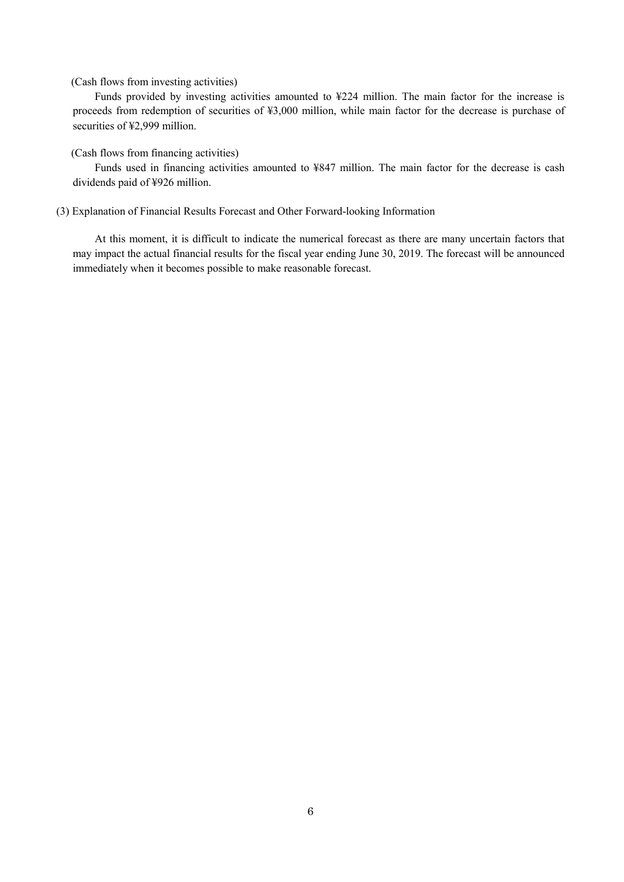#### (Cash flows from investing activities)

Funds provided by investing activities amounted to ¥224 million. The main factor for the increase is proceeds from redemption of securities of ¥3,000 million, while main factor for the decrease is purchase of securities of ¥2,999 million.

(Cash flows from financing activities)

Funds used in financing activities amounted to ¥847 million. The main factor for the decrease is cash dividends paid of ¥926 million.

# (3) Explanation of Financial Results Forecast and Other Forward-looking Information

At this moment, it is difficult to indicate the numerical forecast as there are many uncertain factors that may impact the actual financial results for the fiscal year ending June 30, 2019. The forecast will be announced immediately when it becomes possible to make reasonable forecast.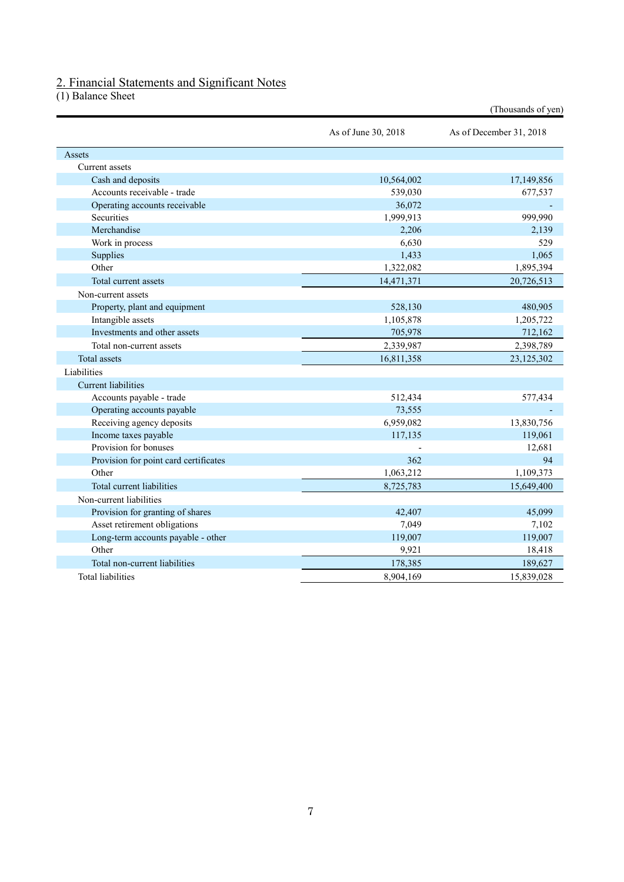# 2. Financial Statements and Significant Notes

(1) Balance Sheet

|                                       |                     | (Thousands of yen)      |
|---------------------------------------|---------------------|-------------------------|
|                                       | As of June 30, 2018 | As of December 31, 2018 |
| Assets                                |                     |                         |
| Current assets                        |                     |                         |
| Cash and deposits                     | 10,564,002          | 17,149,856              |
| Accounts receivable - trade           | 539,030             | 677,537                 |
| Operating accounts receivable         | 36,072              |                         |
| Securities                            | 1,999,913           | 999,990                 |
| Merchandise                           | 2,206               | 2,139                   |
| Work in process                       | 6,630               | 529                     |
| Supplies                              | 1,433               | 1,065                   |
| Other                                 | 1,322,082           | 1,895,394               |
| Total current assets                  | 14,471,371          | 20,726,513              |
| Non-current assets                    |                     |                         |
| Property, plant and equipment         | 528,130             | 480,905                 |
| Intangible assets                     | 1,105,878           | 1,205,722               |
| Investments and other assets          | 705,978             | 712,162                 |
| Total non-current assets              | 2,339,987           | 2,398,789               |
| Total assets                          | 16,811,358          | 23,125,302              |
| Liabilities                           |                     |                         |
| <b>Current</b> liabilities            |                     |                         |
| Accounts payable - trade              | 512,434             | 577,434                 |
| Operating accounts payable            | 73,555              |                         |
| Receiving agency deposits             | 6,959,082           | 13,830,756              |
| Income taxes payable                  | 117,135             | 119,061                 |
| Provision for bonuses                 |                     | 12,681                  |
| Provision for point card certificates | 362                 | 94                      |
| Other                                 | 1,063,212           | 1,109,373               |
| Total current liabilities             | 8,725,783           | 15,649,400              |
| Non-current liabilities               |                     |                         |
| Provision for granting of shares      | 42,407              | 45,099                  |
| Asset retirement obligations          | 7,049               | 7,102                   |
| Long-term accounts payable - other    | 119,007             | 119,007                 |
| Other                                 | 9,921               | 18,418                  |
| Total non-current liabilities         | 178,385             | 189,627                 |
| <b>Total liabilities</b>              | 8,904,169           | 15,839,028              |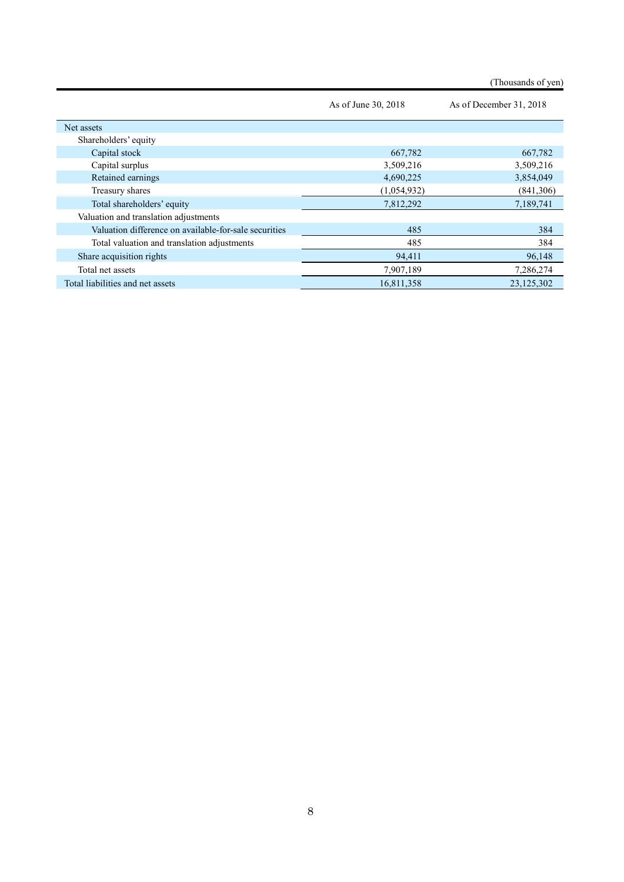(Thousands of yen)

|                                                       | As of June 30, 2018 | As of December 31, 2018 |
|-------------------------------------------------------|---------------------|-------------------------|
| Net assets                                            |                     |                         |
| Shareholders' equity                                  |                     |                         |
| Capital stock                                         | 667,782             | 667,782                 |
| Capital surplus                                       | 3,509,216           | 3,509,216               |
| Retained earnings                                     | 4,690,225           | 3,854,049               |
| Treasury shares                                       | (1,054,932)         | (841,306)               |
| Total shareholders' equity                            | 7,812,292           | 7,189,741               |
| Valuation and translation adjustments                 |                     |                         |
| Valuation difference on available-for-sale securities | 485                 | 384                     |
| Total valuation and translation adjustments           | 485                 | 384                     |
| Share acquisition rights                              | 94,411              | 96,148                  |
| Total net assets                                      | 7,907,189           | 7,286,274               |
| Total liabilities and net assets                      | 16,811,358          | 23,125,302              |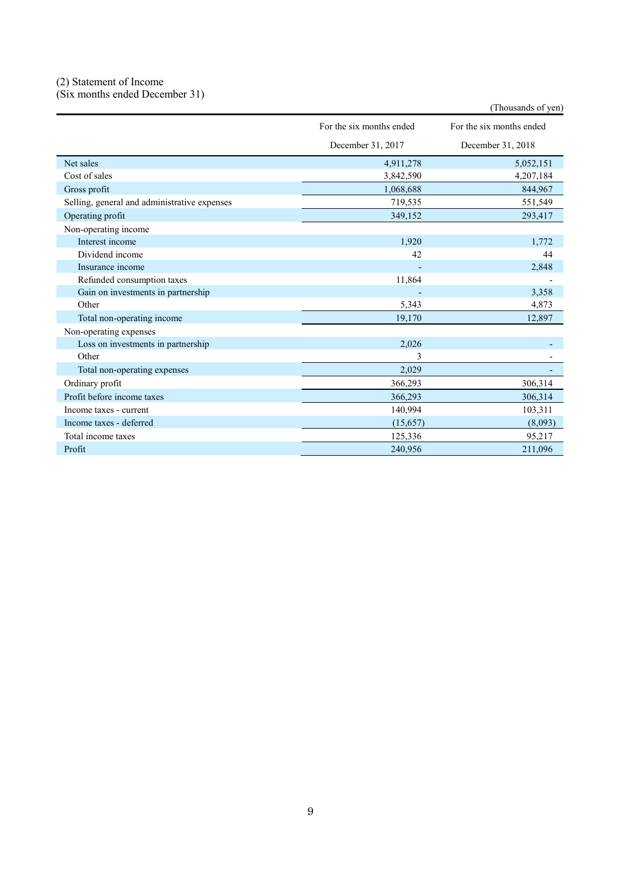# (2) Statement of Income

(Six months ended December 31)

|                                              |                          | (Thousands of yen)       |
|----------------------------------------------|--------------------------|--------------------------|
|                                              | For the six months ended | For the six months ended |
|                                              | December 31, 2017        | December 31, 2018        |
| Net sales                                    | 4,911,278                | 5,052,151                |
| Cost of sales                                | 3,842,590                | 4,207,184                |
| Gross profit                                 | 1,068,688                | 844,967                  |
| Selling, general and administrative expenses | 719,535                  | 551,549                  |
| Operating profit                             | 349,152                  | 293,417                  |
| Non-operating income                         |                          |                          |
| Interest income                              | 1,920                    | 1,772                    |
| Dividend income                              | 42                       | 44                       |
| Insurance income                             |                          | 2,848                    |
| Refunded consumption taxes                   | 11,864                   |                          |
| Gain on investments in partnership           |                          | 3,358                    |
| Other                                        | 5,343                    | 4,873                    |
| Total non-operating income                   | 19,170                   | 12,897                   |
| Non-operating expenses                       |                          |                          |
| Loss on investments in partnership           | 2,026                    |                          |
| Other                                        | 3                        |                          |
| Total non-operating expenses                 | 2,029                    |                          |
| Ordinary profit                              | 366,293                  | 306,314                  |
| Profit before income taxes                   | 366,293                  | 306,314                  |
| Income taxes - current                       | 140,994                  | 103,311                  |
| Income taxes - deferred                      | (15, 657)                | (8,093)                  |
| Total income taxes                           | 125,336                  | 95,217                   |
| Profit                                       | 240,956                  | 211,096                  |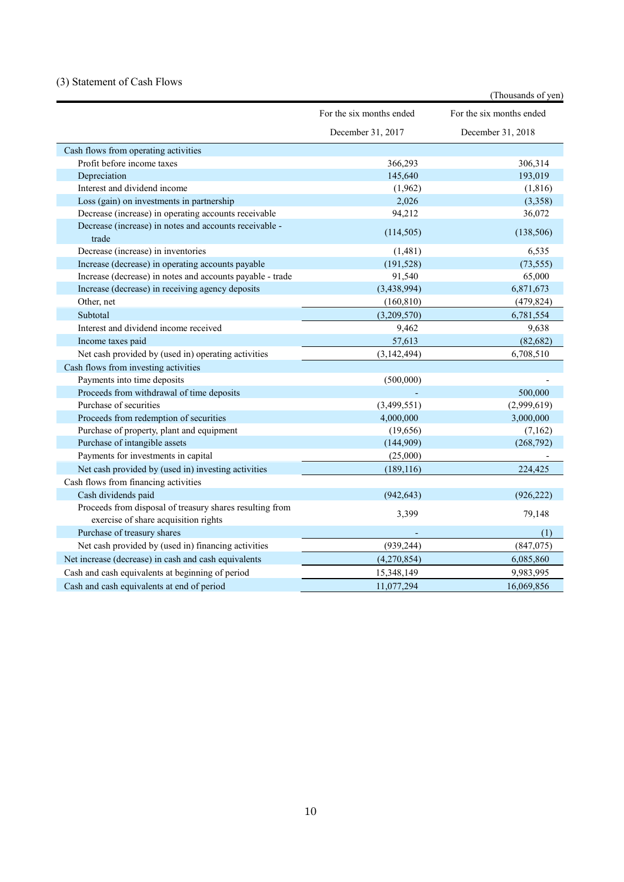# (3) Statement of Cash Flows

|                                                                                                  |                          | (Thousands of yen)       |
|--------------------------------------------------------------------------------------------------|--------------------------|--------------------------|
|                                                                                                  | For the six months ended | For the six months ended |
|                                                                                                  | December 31, 2017        | December 31, 2018        |
| Cash flows from operating activities                                                             |                          |                          |
| Profit before income taxes                                                                       | 366,293                  | 306,314                  |
| Depreciation                                                                                     | 145,640                  | 193,019                  |
| Interest and dividend income                                                                     | (1,962)                  | (1, 816)                 |
| Loss (gain) on investments in partnership                                                        | 2,026                    | (3,358)                  |
| Decrease (increase) in operating accounts receivable                                             | 94,212                   | 36,072                   |
| Decrease (increase) in notes and accounts receivable -<br>trade                                  | (114, 505)               | (138, 506)               |
| Decrease (increase) in inventories                                                               | (1,481)                  | 6,535                    |
| Increase (decrease) in operating accounts payable                                                | (191, 528)               | (73, 555)                |
| Increase (decrease) in notes and accounts payable - trade                                        | 91,540                   | 65,000                   |
| Increase (decrease) in receiving agency deposits                                                 | (3,438,994)              | 6,871,673                |
| Other, net                                                                                       | (160, 810)               | (479, 824)               |
| Subtotal                                                                                         | (3,209,570)              | 6,781,554                |
| Interest and dividend income received                                                            | 9,462                    | 9,638                    |
| Income taxes paid                                                                                | 57,613                   | (82, 682)                |
| Net cash provided by (used in) operating activities                                              | (3, 142, 494)            | 6,708,510                |
| Cash flows from investing activities                                                             |                          |                          |
| Payments into time deposits                                                                      | (500,000)                |                          |
| Proceeds from withdrawal of time deposits                                                        |                          | 500,000                  |
| Purchase of securities                                                                           | (3,499,551)              | (2,999,619)              |
| Proceeds from redemption of securities                                                           | 4,000,000                | 3,000,000                |
| Purchase of property, plant and equipment                                                        | (19,656)                 | (7,162)                  |
| Purchase of intangible assets                                                                    | (144,909)                | (268,792)                |
| Payments for investments in capital                                                              | (25,000)                 |                          |
| Net cash provided by (used in) investing activities                                              | (189, 116)               | 224,425                  |
| Cash flows from financing activities                                                             |                          |                          |
| Cash dividends paid                                                                              | (942, 643)               | (926, 222)               |
| Proceeds from disposal of treasury shares resulting from<br>exercise of share acquisition rights | 3,399                    | 79,148                   |
| Purchase of treasury shares                                                                      |                          | (1)                      |
| Net cash provided by (used in) financing activities                                              | (939, 244)               | (847,075)                |
| Net increase (decrease) in cash and cash equivalents                                             | (4,270,854)              | 6,085,860                |
| Cash and cash equivalents at beginning of period                                                 | 15,348,149               | 9,983,995                |
| Cash and cash equivalents at end of period                                                       | 11,077,294               | 16,069,856               |